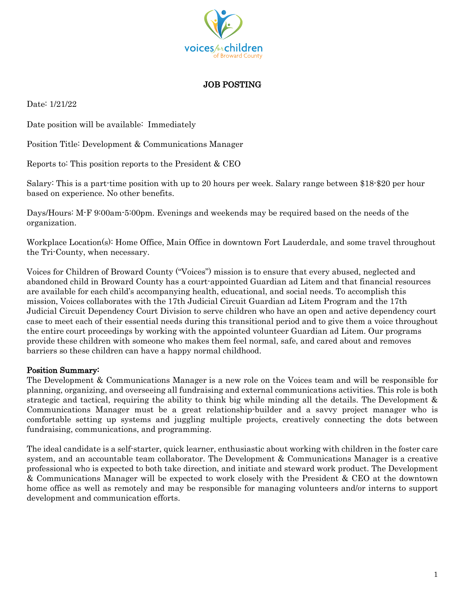

## JOB POSTING

Date: 1/21/22

Date position will be available: Immediately

Position Title: Development & Communications Manager

Reports to: This position reports to the President & CEO

Salary: This is a part-time position with up to 20 hours per week. Salary range between \$18-\$20 per hour based on experience. No other benefits.

Days/Hours: M-F 9:00am-5:00pm. Evenings and weekends may be required based on the needs of the organization.

Workplace Location(s): Home Office, Main Office in downtown Fort Lauderdale, and some travel throughout the Tri-County, when necessary.

Voices for Children of Broward County ("Voices") mission is to ensure that every abused, neglected and abandoned child in Broward County has a court-appointed Guardian ad Litem and that financial resources are available for each child's accompanying health, educational, and social needs. To accomplish this mission, Voices collaborates with the 17th Judicial Circuit Guardian ad Litem Program and the 17th Judicial Circuit Dependency Court Division to serve children who have an open and active dependency court case to meet each of their essential needs during this transitional period and to give them a voice throughout the entire court proceedings by working with the appointed volunteer Guardian ad Litem. Our programs provide these children with someone who makes them feel normal, safe, and cared about and removes barriers so these children can have a happy normal childhood.

## Position Summary:

The Development & Communications Manager is a new role on the Voices team and will be responsible for planning, organizing, and overseeing all fundraising and external communications activities. This role is both strategic and tactical, requiring the ability to think big while minding all the details. The Development & Communications Manager must be a great relationship-builder and a savvy project manager who is comfortable setting up systems and juggling multiple projects, creatively connecting the dots between fundraising, communications, and programming.

The ideal candidate is a self-starter, quick learner, enthusiastic about working with children in the foster care system, and an accountable team collaborator. The Development & Communications Manager is a creative professional who is expected to both take direction, and initiate and steward work product. The Development & Communications Manager will be expected to work closely with the President & CEO at the downtown home office as well as remotely and may be responsible for managing volunteers and/or interns to support development and communication efforts.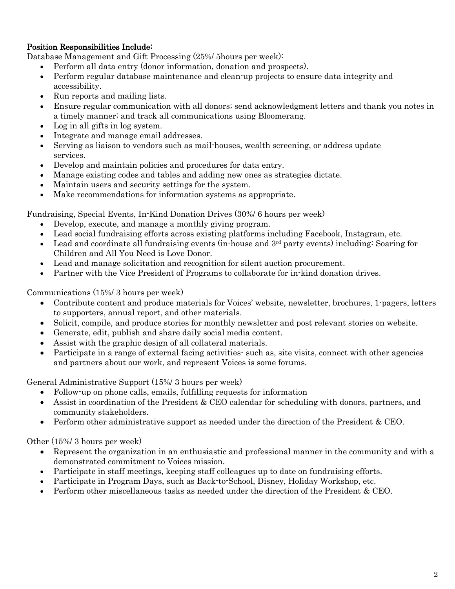## Position Responsibilities Include:

Database Management and Gift Processing (25%/ 5hours per week):

- Perform all data entry (donor information, donation and prospects).
- Perform regular database maintenance and clean-up projects to ensure data integrity and accessibility.
- Run reports and mailing lists.
- Ensure regular communication with all donors; send acknowledgment letters and thank you notes in a timely manner; and track all communications using Bloomerang.
- Log in all gifts in log system.
- Integrate and manage email addresses.
- Serving as liaison to vendors such as mail-houses, wealth screening, or address update services.
- Develop and maintain policies and procedures for data entry.
- Manage existing codes and tables and adding new ones as strategies dictate.
- Maintain users and security settings for the system.
- Make recommendations for information systems as appropriate.

Fundraising, Special Events, In-Kind Donation Drives (30%/ 6 hours per week)

- Develop, execute, and manage a monthly giving program.
- Lead social fundraising efforts across existing platforms including Facebook, Instagram, etc.
- Lead and coordinate all fundraising events (in-house and  $3<sup>rd</sup>$  party events) including: Soaring for Children and All You Need is Love Donor.
- Lead and manage solicitation and recognition for silent auction procurement.
- Partner with the Vice President of Programs to collaborate for in-kind donation drives.

Communications (15%/ 3 hours per week)

- Contribute content and produce materials for Voices' website, newsletter, brochures, 1-pagers, letters to supporters, annual report, and other materials.
- Solicit, compile, and produce stories for monthly newsletter and post relevant stories on website.
- Generate, edit, publish and share daily social media content.
- Assist with the graphic design of all collateral materials.
- Participate in a range of external facing activities- such as, site visits, connect with other agencies and partners about our work, and represent Voices is some forums.

General Administrative Support (15%/ 3 hours per week)

- Follow-up on phone calls, emails, fulfilling requests for information
- Assist in coordination of the President & CEO calendar for scheduling with donors, partners, and community stakeholders.
- Perform other administrative support as needed under the direction of the President & CEO.

Other (15%/ 3 hours per week)

- Represent the organization in an enthusiastic and professional manner in the community and with a demonstrated commitment to Voices mission.
- Participate in staff meetings, keeping staff colleagues up to date on fundraising efforts.
- Participate in Program Days, such as Back-to-School, Disney, Holiday Workshop, etc.
- Perform other miscellaneous tasks as needed under the direction of the President & CEO.